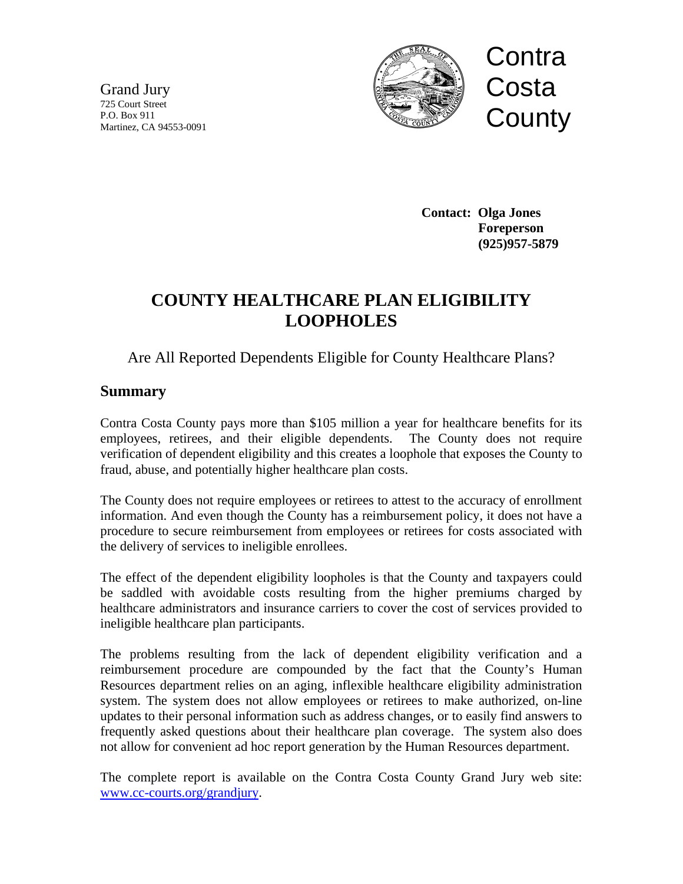Grand Jury 725 Court Street P.O. Box 911 Martinez, CA 94553-0091



 **Contact: Olga Jones Foreperson (925)957-5879**

# **COUNTY HEALTHCARE PLAN ELIGIBILITY LOOPHOLES**

## Are All Reported Dependents Eligible for County Healthcare Plans?

## **Summary**

Contra Costa County pays more than \$105 million a year for healthcare benefits for its employees, retirees, and their eligible dependents. The County does not require verification of dependent eligibility and this creates a loophole that exposes the County to fraud, abuse, and potentially higher healthcare plan costs.

The County does not require employees or retirees to attest to the accuracy of enrollment information. And even though the County has a reimbursement policy, it does not have a procedure to secure reimbursement from employees or retirees for costs associated with the delivery of services to ineligible enrollees.

The effect of the dependent eligibility loopholes is that the County and taxpayers could be saddled with avoidable costs resulting from the higher premiums charged by healthcare administrators and insurance carriers to cover the cost of services provided to ineligible healthcare plan participants.

The problems resulting from the lack of dependent eligibility verification and a reimbursement procedure are compounded by the fact that the County's Human Resources department relies on an aging, inflexible healthcare eligibility administration system. The system does not allow employees or retirees to make authorized, on-line updates to their personal information such as address changes, or to easily find answers to frequently asked questions about their healthcare plan coverage. The system also does not allow for convenient ad hoc report generation by the Human Resources department.

The complete report is available on the Contra Costa County Grand Jury web site: [www.cc-courts.org/grandjury.](http://www.cc-courts.org/grandjury)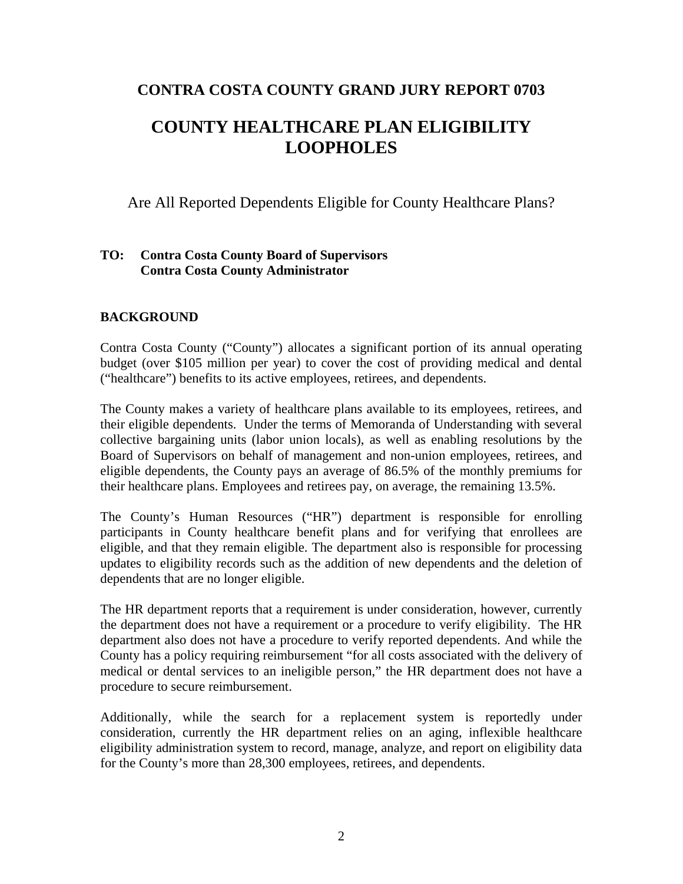## **CONTRA COSTA COUNTY GRAND JURY REPORT 0703**

## **COUNTY HEALTHCARE PLAN ELIGIBILITY LOOPHOLES**

Are All Reported Dependents Eligible for County Healthcare Plans?

#### **TO: Contra Costa County Board of Supervisors Contra Costa County Administrator**

#### **BACKGROUND**

Contra Costa County ("County") allocates a significant portion of its annual operating budget (over \$105 million per year) to cover the cost of providing medical and dental ("healthcare") benefits to its active employees, retirees, and dependents.

The County makes a variety of healthcare plans available to its employees, retirees, and their eligible dependents. Under the terms of Memoranda of Understanding with several collective bargaining units (labor union locals), as well as enabling resolutions by the Board of Supervisors on behalf of management and non-union employees, retirees, and eligible dependents, the County pays an average of 86.5% of the monthly premiums for their healthcare plans. Employees and retirees pay, on average, the remaining 13.5%.

The County's Human Resources ("HR") department is responsible for enrolling participants in County healthcare benefit plans and for verifying that enrollees are eligible, and that they remain eligible. The department also is responsible for processing updates to eligibility records such as the addition of new dependents and the deletion of dependents that are no longer eligible.

The HR department reports that a requirement is under consideration, however, currently the department does not have a requirement or a procedure to verify eligibility. The HR department also does not have a procedure to verify reported dependents. And while the County has a policy requiring reimbursement "for all costs associated with the delivery of medical or dental services to an ineligible person," the HR department does not have a procedure to secure reimbursement.

Additionally, while the search for a replacement system is reportedly under consideration, currently the HR department relies on an aging, inflexible healthcare eligibility administration system to record, manage, analyze, and report on eligibility data for the County's more than 28,300 employees, retirees, and dependents.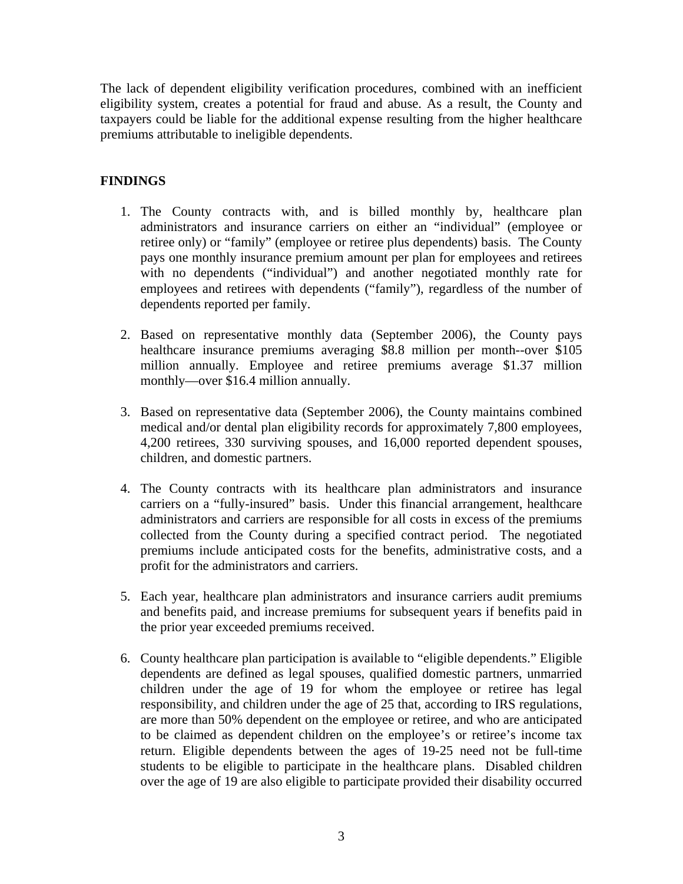The lack of dependent eligibility verification procedures, combined with an inefficient eligibility system, creates a potential for fraud and abuse. As a result, the County and taxpayers could be liable for the additional expense resulting from the higher healthcare premiums attributable to ineligible dependents.

## **FINDINGS**

- 1. The County contracts with, and is billed monthly by, healthcare plan administrators and insurance carriers on either an "individual" (employee or retiree only) or "family" (employee or retiree plus dependents) basis. The County pays one monthly insurance premium amount per plan for employees and retirees with no dependents ("individual") and another negotiated monthly rate for employees and retirees with dependents ("family"), regardless of the number of dependents reported per family.
- 2. Based on representative monthly data (September 2006), the County pays healthcare insurance premiums averaging \$8.8 million per month--over \$105 million annually. Employee and retiree premiums average \$1.37 million monthly—over \$16.4 million annually.
- 3. Based on representative data (September 2006), the County maintains combined medical and/or dental plan eligibility records for approximately 7,800 employees, 4,200 retirees, 330 surviving spouses, and 16,000 reported dependent spouses, children, and domestic partners.
- 4. The County contracts with its healthcare plan administrators and insurance carriers on a "fully-insured" basis. Under this financial arrangement, healthcare administrators and carriers are responsible for all costs in excess of the premiums collected from the County during a specified contract period. The negotiated premiums include anticipated costs for the benefits, administrative costs, and a profit for the administrators and carriers.
- 5. Each year, healthcare plan administrators and insurance carriers audit premiums and benefits paid, and increase premiums for subsequent years if benefits paid in the prior year exceeded premiums received.
- 6. County healthcare plan participation is available to "eligible dependents." Eligible dependents are defined as legal spouses, qualified domestic partners, unmarried children under the age of 19 for whom the employee or retiree has legal responsibility, and children under the age of 25 that, according to IRS regulations, are more than 50% dependent on the employee or retiree, and who are anticipated to be claimed as dependent children on the employee's or retiree's income tax return. Eligible dependents between the ages of 19-25 need not be full-time students to be eligible to participate in the healthcare plans. Disabled children over the age of 19 are also eligible to participate provided their disability occurred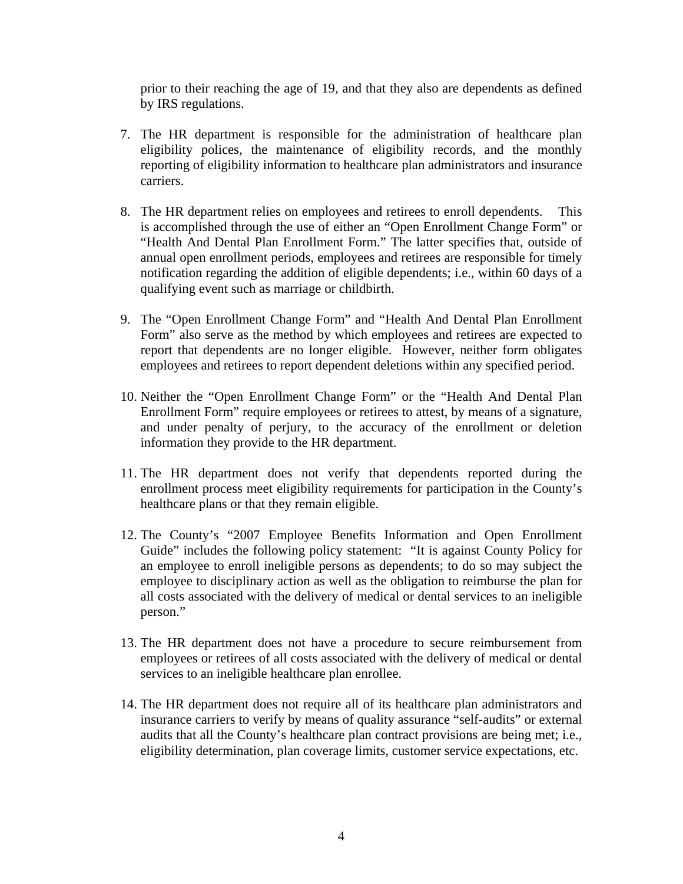prior to their reaching the age of 19, and that they also are dependents as defined by IRS regulations.

- 7. The HR department is responsible for the administration of healthcare plan eligibility polices, the maintenance of eligibility records, and the monthly reporting of eligibility information to healthcare plan administrators and insurance carriers.
- 8. The HR department relies on employees and retirees to enroll dependents. This is accomplished through the use of either an "Open Enrollment Change Form" or "Health And Dental Plan Enrollment Form." The latter specifies that, outside of annual open enrollment periods, employees and retirees are responsible for timely notification regarding the addition of eligible dependents; i.e., within 60 days of a qualifying event such as marriage or childbirth.
- 9. The "Open Enrollment Change Form" and "Health And Dental Plan Enrollment Form" also serve as the method by which employees and retirees are expected to report that dependents are no longer eligible. However, neither form obligates employees and retirees to report dependent deletions within any specified period.
- 10. Neither the "Open Enrollment Change Form" or the "Health And Dental Plan Enrollment Form" require employees or retirees to attest, by means of a signature, and under penalty of perjury, to the accuracy of the enrollment or deletion information they provide to the HR department.
- 11. The HR department does not verify that dependents reported during the enrollment process meet eligibility requirements for participation in the County's healthcare plans or that they remain eligible.
- 12. The County's "2007 Employee Benefits Information and Open Enrollment Guide" includes the following policy statement: "It is against County Policy for an employee to enroll ineligible persons as dependents; to do so may subject the employee to disciplinary action as well as the obligation to reimburse the plan for all costs associated with the delivery of medical or dental services to an ineligible person."
- 13. The HR department does not have a procedure to secure reimbursement from employees or retirees of all costs associated with the delivery of medical or dental services to an ineligible healthcare plan enrollee.
- 14. The HR department does not require all of its healthcare plan administrators and insurance carriers to verify by means of quality assurance "self-audits" or external audits that all the County's healthcare plan contract provisions are being met; i.e., eligibility determination, plan coverage limits, customer service expectations, etc.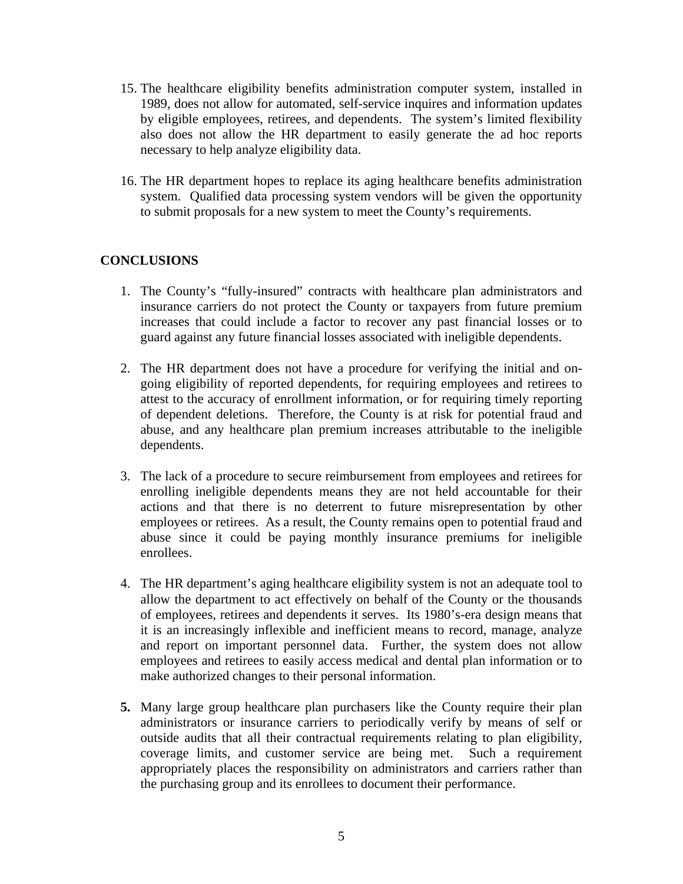- 15. The healthcare eligibility benefits administration computer system, installed in 1989, does not allow for automated, self-service inquires and information updates by eligible employees, retirees, and dependents. The system's limited flexibility also does not allow the HR department to easily generate the ad hoc reports necessary to help analyze eligibility data.
- 16. The HR department hopes to replace its aging healthcare benefits administration system. Qualified data processing system vendors will be given the opportunity to submit proposals for a new system to meet the County's requirements.

#### **CONCLUSIONS**

- 1. The County's "fully-insured" contracts with healthcare plan administrators and insurance carriers do not protect the County or taxpayers from future premium increases that could include a factor to recover any past financial losses or to guard against any future financial losses associated with ineligible dependents.
- 2. The HR department does not have a procedure for verifying the initial and ongoing eligibility of reported dependents, for requiring employees and retirees to attest to the accuracy of enrollment information, or for requiring timely reporting of dependent deletions. Therefore, the County is at risk for potential fraud and abuse, and any healthcare plan premium increases attributable to the ineligible dependents.
- 3. The lack of a procedure to secure reimbursement from employees and retirees for enrolling ineligible dependents means they are not held accountable for their actions and that there is no deterrent to future misrepresentation by other employees or retirees. As a result, the County remains open to potential fraud and abuse since it could be paying monthly insurance premiums for ineligible enrollees.
- 4. The HR department's aging healthcare eligibility system is not an adequate tool to allow the department to act effectively on behalf of the County or the thousands of employees, retirees and dependents it serves. Its 1980's-era design means that it is an increasingly inflexible and inefficient means to record, manage, analyze and report on important personnel data. Further, the system does not allow employees and retirees to easily access medical and dental plan information or to make authorized changes to their personal information.
- **5.** Many large group healthcare plan purchasers like the County require their plan administrators or insurance carriers to periodically verify by means of self or outside audits that all their contractual requirements relating to plan eligibility, coverage limits, and customer service are being met. Such a requirement appropriately places the responsibility on administrators and carriers rather than the purchasing group and its enrollees to document their performance.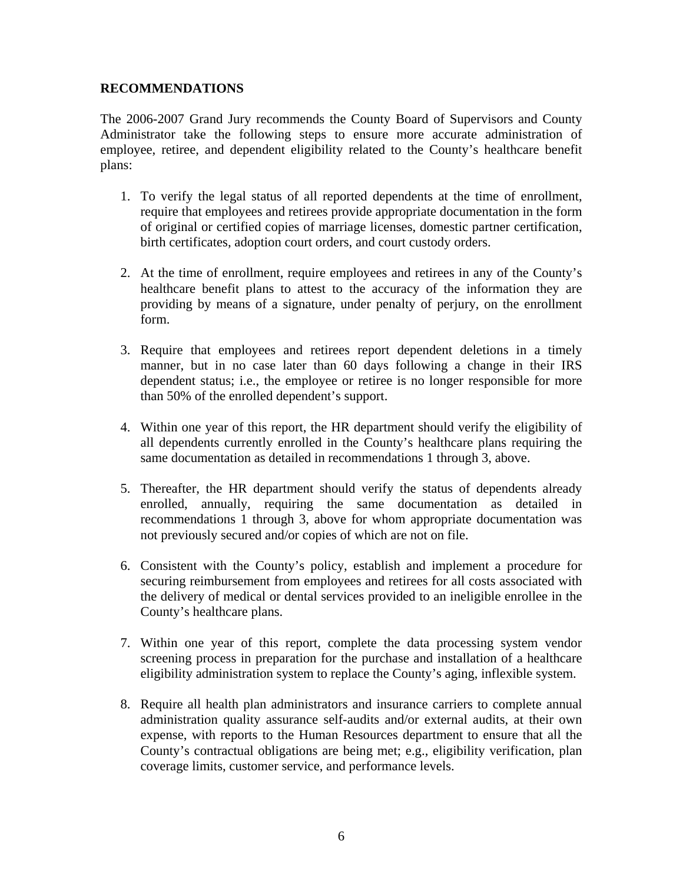#### **RECOMMENDATIONS**

The 2006-2007 Grand Jury recommends the County Board of Supervisors and County Administrator take the following steps to ensure more accurate administration of employee, retiree, and dependent eligibility related to the County's healthcare benefit plans:

- 1. To verify the legal status of all reported dependents at the time of enrollment, require that employees and retirees provide appropriate documentation in the form of original or certified copies of marriage licenses, domestic partner certification, birth certificates, adoption court orders, and court custody orders.
- 2. At the time of enrollment, require employees and retirees in any of the County's healthcare benefit plans to attest to the accuracy of the information they are providing by means of a signature, under penalty of perjury, on the enrollment form.
- 3. Require that employees and retirees report dependent deletions in a timely manner, but in no case later than 60 days following a change in their IRS dependent status; i.e., the employee or retiree is no longer responsible for more than 50% of the enrolled dependent's support.
- 4. Within one year of this report, the HR department should verify the eligibility of all dependents currently enrolled in the County's healthcare plans requiring the same documentation as detailed in recommendations 1 through 3, above.
- 5. Thereafter, the HR department should verify the status of dependents already enrolled, annually, requiring the same documentation as detailed in recommendations 1 through 3, above for whom appropriate documentation was not previously secured and/or copies of which are not on file.
- 6. Consistent with the County's policy, establish and implement a procedure for securing reimbursement from employees and retirees for all costs associated with the delivery of medical or dental services provided to an ineligible enrollee in the County's healthcare plans.
- 7. Within one year of this report, complete the data processing system vendor screening process in preparation for the purchase and installation of a healthcare eligibility administration system to replace the County's aging, inflexible system.
- 8. Require all health plan administrators and insurance carriers to complete annual administration quality assurance self-audits and/or external audits, at their own expense, with reports to the Human Resources department to ensure that all the County's contractual obligations are being met; e.g., eligibility verification, plan coverage limits, customer service, and performance levels.